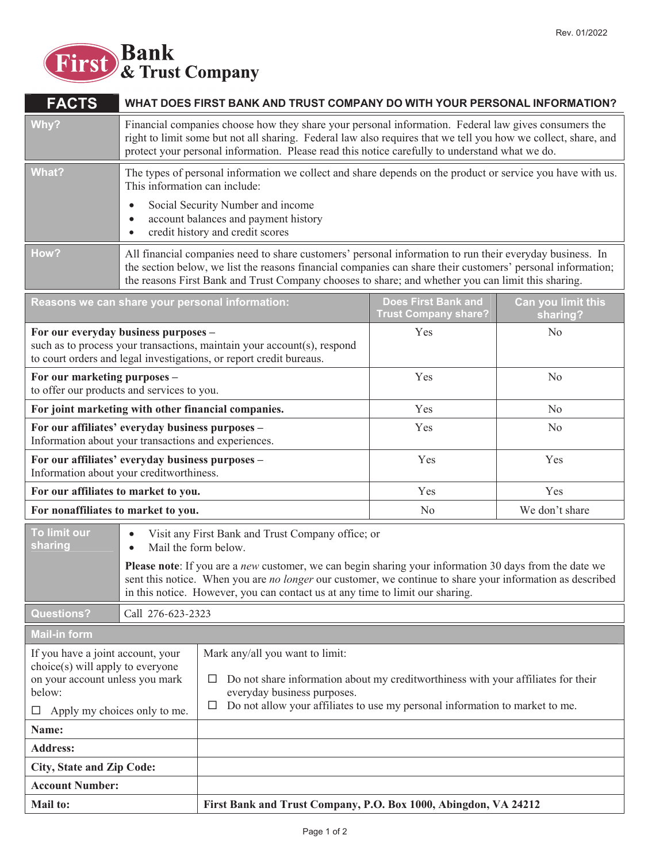

| <b>FACTS</b>                                                                                                                                            | WHAT DOES FIRST BANK AND TRUST COMPANY DO WITH YOUR PERSONAL INFORMATION?                                                               |                                                                                                                                                                                                                                                                                                                               |                                                           |                                |  |
|---------------------------------------------------------------------------------------------------------------------------------------------------------|-----------------------------------------------------------------------------------------------------------------------------------------|-------------------------------------------------------------------------------------------------------------------------------------------------------------------------------------------------------------------------------------------------------------------------------------------------------------------------------|-----------------------------------------------------------|--------------------------------|--|
| Why?                                                                                                                                                    |                                                                                                                                         | Financial companies choose how they share your personal information. Federal law gives consumers the<br>right to limit some but not all sharing. Federal law also requires that we tell you how we collect, share, and<br>protect your personal information. Please read this notice carefully to understand what we do.      |                                                           |                                |  |
| What?                                                                                                                                                   |                                                                                                                                         | The types of personal information we collect and share depends on the product or service you have with us.<br>This information can include:                                                                                                                                                                                   |                                                           |                                |  |
|                                                                                                                                                         | Social Security Number and income<br>$\bullet$<br>account balances and payment history<br>credit history and credit scores<br>$\bullet$ |                                                                                                                                                                                                                                                                                                                               |                                                           |                                |  |
| How?                                                                                                                                                    |                                                                                                                                         | All financial companies need to share customers' personal information to run their everyday business. In<br>the section below, we list the reasons financial companies can share their customers' personal information;<br>the reasons First Bank and Trust Company chooses to share; and whether you can limit this sharing. |                                                           |                                |  |
| Reasons we can share your personal information:                                                                                                         |                                                                                                                                         |                                                                                                                                                                                                                                                                                                                               | <b>Does First Bank and</b><br><b>Trust Company share?</b> | Can you limit this<br>sharing? |  |
| For our everyday business purposes -                                                                                                                    |                                                                                                                                         | such as to process your transactions, maintain your account(s), respond<br>to court orders and legal investigations, or report credit bureaus.                                                                                                                                                                                | Yes                                                       | N <sub>0</sub>                 |  |
| For our marketing purposes -<br>to offer our products and services to you.                                                                              |                                                                                                                                         |                                                                                                                                                                                                                                                                                                                               | Yes                                                       | N <sub>0</sub>                 |  |
| For joint marketing with other financial companies.                                                                                                     |                                                                                                                                         |                                                                                                                                                                                                                                                                                                                               | Yes                                                       | N <sub>0</sub>                 |  |
| For our affiliates' everyday business purposes -<br>Information about your transactions and experiences.                                                |                                                                                                                                         |                                                                                                                                                                                                                                                                                                                               | Yes                                                       | N <sub>0</sub>                 |  |
| For our affiliates' everyday business purposes -<br>Information about your creditworthiness.                                                            |                                                                                                                                         |                                                                                                                                                                                                                                                                                                                               | Yes                                                       | Yes                            |  |
| For our affiliates to market to you.                                                                                                                    |                                                                                                                                         |                                                                                                                                                                                                                                                                                                                               | Yes                                                       | Yes                            |  |
| For nonaffiliates to market to you.                                                                                                                     |                                                                                                                                         |                                                                                                                                                                                                                                                                                                                               | N <sub>0</sub>                                            | We don't share                 |  |
| To limit our<br>$\bullet$<br>sharing<br>Mail the form below.<br>$\bullet$                                                                               |                                                                                                                                         | Visit any First Bank and Trust Company office; or<br>Please note: If you are a new customer, we can begin sharing your information 30 days from the date we<br>sent this notice. When you are <i>no longer</i> our customer, we continue to share your information as described                                               |                                                           |                                |  |
|                                                                                                                                                         |                                                                                                                                         | in this notice. However, you can contact us at any time to limit our sharing.                                                                                                                                                                                                                                                 |                                                           |                                |  |
| <b>Questions?</b><br>Call 276-623-2323                                                                                                                  |                                                                                                                                         |                                                                                                                                                                                                                                                                                                                               |                                                           |                                |  |
| <b>Mail-in form</b>                                                                                                                                     |                                                                                                                                         |                                                                                                                                                                                                                                                                                                                               |                                                           |                                |  |
| If you have a joint account, your<br>choice(s) will apply to everyone<br>on your account unless you mark<br>below:<br>Apply my choices only to me.<br>ப |                                                                                                                                         | Mark any/all you want to limit:<br>Do not share information about my creditworthiness with your affiliates for their<br>ப<br>everyday business purposes.<br>Do not allow your affiliates to use my personal information to market to me.<br>⊔                                                                                 |                                                           |                                |  |
| Name:                                                                                                                                                   |                                                                                                                                         |                                                                                                                                                                                                                                                                                                                               |                                                           |                                |  |
| <b>Address:</b>                                                                                                                                         |                                                                                                                                         |                                                                                                                                                                                                                                                                                                                               |                                                           |                                |  |
| <b>City, State and Zip Code:</b>                                                                                                                        |                                                                                                                                         |                                                                                                                                                                                                                                                                                                                               |                                                           |                                |  |
| <b>Account Number:</b>                                                                                                                                  |                                                                                                                                         |                                                                                                                                                                                                                                                                                                                               |                                                           |                                |  |
| Mail to:                                                                                                                                                |                                                                                                                                         | First Bank and Trust Company, P.O. Box 1000, Abingdon, VA 24212                                                                                                                                                                                                                                                               |                                                           |                                |  |